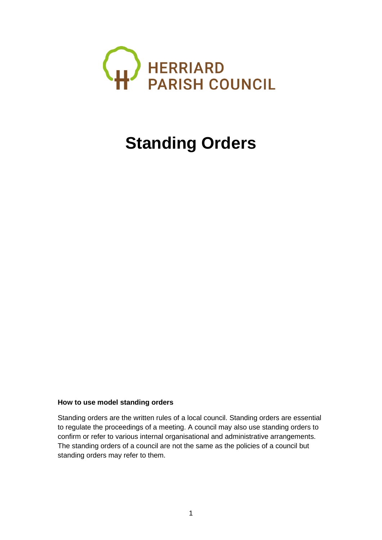

# **Standing Orders**

### **How to use model standing orders**

Standing orders are the written rules of a local council. Standing orders are essential to regulate the proceedings of a meeting. A council may also use standing orders to confirm or refer to various internal organisational and administrative arrangements. The standing orders of a council are not the same as the policies of a council but standing orders may refer to them.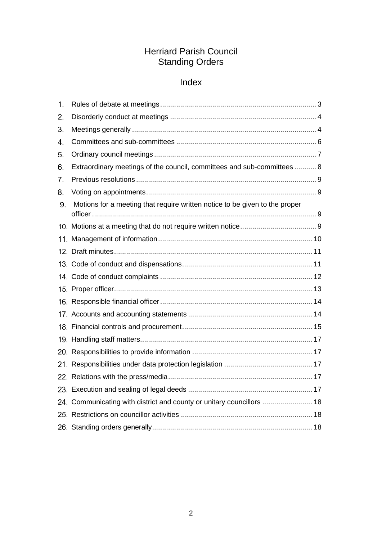## Herriard Parish Council Standing Orders

# Index

| Extraordinary meetings of the council, committees and sub-committees 8      |  |
|-----------------------------------------------------------------------------|--|
|                                                                             |  |
|                                                                             |  |
| Motions for a meeting that require written notice to be given to the proper |  |
|                                                                             |  |
|                                                                             |  |
|                                                                             |  |
|                                                                             |  |
|                                                                             |  |
|                                                                             |  |
|                                                                             |  |
|                                                                             |  |
|                                                                             |  |
|                                                                             |  |
|                                                                             |  |
|                                                                             |  |
|                                                                             |  |
|                                                                             |  |
| 24. Communicating with district and county or unitary councillors  18       |  |
|                                                                             |  |
|                                                                             |  |
|                                                                             |  |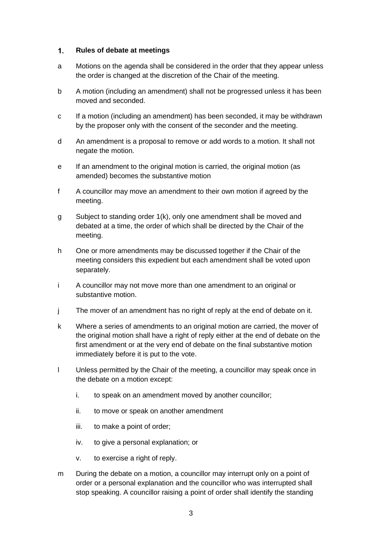#### <span id="page-2-0"></span> $1.$ **Rules of debate at meetings**

- a Motions on the agenda shall be considered in the order that they appear unless the order is changed at the discretion of the Chair of the meeting.
- b A motion (including an amendment) shall not be progressed unless it has been moved and seconded.
- c If a motion (including an amendment) has been seconded, it may be withdrawn by the proposer only with the consent of the seconder and the meeting.
- d An amendment is a proposal to remove or add words to a motion. It shall not negate the motion.
- e If an amendment to the original motion is carried, the original motion (as amended) becomes the substantive motion
- f A councillor may move an amendment to their own motion if agreed by the meeting.
- g Subject to standing order 1(k), only one amendment shall be moved and debated at a time, the order of which shall be directed by the Chair of the meeting.
- h One or more amendments may be discussed together if the Chair of the meeting considers this expedient but each amendment shall be voted upon separately.
- i A councillor may not move more than one amendment to an original or substantive motion.
- j The mover of an amendment has no right of reply at the end of debate on it.
- k Where a series of amendments to an original motion are carried, the mover of the original motion shall have a right of reply either at the end of debate on the first amendment or at the very end of debate on the final substantive motion immediately before it is put to the vote.
- l Unless permitted by the Chair of the meeting, a councillor may speak once in the debate on a motion except:
	- i. to speak on an amendment moved by another councillor;
	- ii. to move or speak on another amendment
	- iii. to make a point of order;
	- iv. to give a personal explanation; or
	- v. to exercise a right of reply.
- m During the debate on a motion, a councillor may interrupt only on a point of order or a personal explanation and the councillor who was interrupted shall stop speaking. A councillor raising a point of order shall identify the standing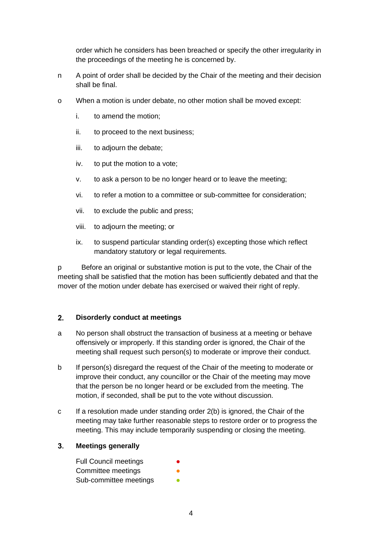order which he considers has been breached or specify the other irregularity in the proceedings of the meeting he is concerned by.

- n A point of order shall be decided by the Chair of the meeting and their decision shall be final.
- o When a motion is under debate, no other motion shall be moved except:
	- i. to amend the motion;
	- ii. to proceed to the next business;
	- iii. to adjourn the debate;
	- iv. to put the motion to a vote;
	- v. to ask a person to be no longer heard or to leave the meeting;
	- vi. to refer a motion to a committee or sub-committee for consideration;
	- vii. to exclude the public and press;
	- viii. to adjourn the meeting; or
	- ix. to suspend particular standing order(s) excepting those which reflect mandatory statutory or legal requirements.

p Before an original or substantive motion is put to the vote, the Chair of the meeting shall be satisfied that the motion has been sufficiently debated and that the mover of the motion under debate has exercised or waived their right of reply.

#### <span id="page-3-0"></span> $2<sub>-</sub>$ **Disorderly conduct at meetings**

- a No person shall obstruct the transaction of business at a meeting or behave offensively or improperly. If this standing order is ignored, the Chair of the meeting shall request such person(s) to moderate or improve their conduct.
- b If person(s) disregard the request of the Chair of the meeting to moderate or improve their conduct, any councillor or the Chair of the meeting may move that the person be no longer heard or be excluded from the meeting. The motion, if seconded, shall be put to the vote without discussion.
- c If a resolution made under standing order 2(b) is ignored, the Chair of the meeting may take further reasonable steps to restore order or to progress the meeting. This may include temporarily suspending or closing the meeting.

#### <span id="page-3-1"></span> $3.$ **Meetings generally**

| <b>Full Council meetings</b> | $\bullet$ |
|------------------------------|-----------|
| Committee meetings           |           |
| Sub-committee meetings       |           |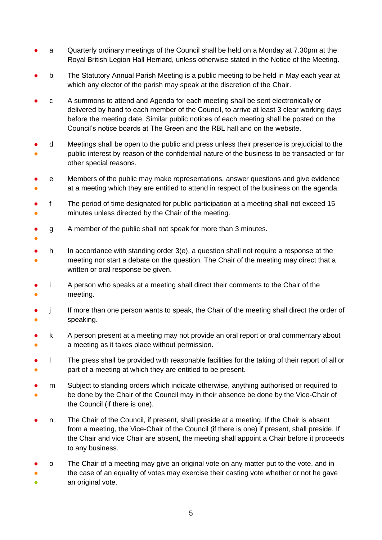- a Cuarterly ordinary meetings of the Council shall be held on a Monday at 7.30pm at the Royal British Legion Hall Herriard, unless otherwise stated in the Notice of the Meeting.
- b The Statutory Annual Parish Meeting is a public meeting to be held in May each year at which any elector of the parish may speak at the discretion of the Chair.
- c A summons to attend and Agenda for each meeting shall be sent electronically or delivered by hand to each member of the Council, to arrive at least 3 clear working days before the meeting date. Similar public notices of each meeting shall be posted on the Council's notice boards at The Green and the RBL hall and on the website.
- ● d Meetings shall be open to the public and press unless their presence is prejudicial to the public interest by reason of the confidential nature of the business to be transacted or for other special reasons.
- ● e Members of the public may make representations, answer questions and give evidence at a meeting which they are entitled to attend in respect of the business on the agenda.
- ● f The period of time designated for public participation at a meeting shall not exceed 15 minutes unless directed by the Chair of the meeting.
- g A member of the public shall not speak for more than 3 minutes.
- ●

- ● h In accordance with standing order 3(e), a question shall not require a response at the meeting nor start a debate on the question. The Chair of the meeting may direct that a written or oral response be given.
- ● i A person who speaks at a meeting shall direct their comments to the Chair of the meeting.
- ● j If more than one person wants to speak, the Chair of the meeting shall direct the order of speaking.
- ● k A person present at a meeting may not provide an oral report or oral commentary about a meeting as it takes place without permission.
- ● l The press shall be provided with reasonable facilities for the taking of their report of all or part of a meeting at which they are entitled to be present.
- ● m Subject to standing orders which indicate otherwise, anything authorised or required to be done by the Chair of the Council may in their absence be done by the Vice-Chair of the Council (if there is one).
- n The Chair of the Council, if present, shall preside at a meeting. If the Chair is absent from a meeting, the Vice-Chair of the Council (if there is one) if present, shall preside. If the Chair and vice Chair are absent, the meeting shall appoint a Chair before it proceeds to any business.
- ● ● o The Chair of a meeting may give an original vote on any matter put to the vote, and in the case of an equality of votes may exercise their casting vote whether or not he gave an original vote.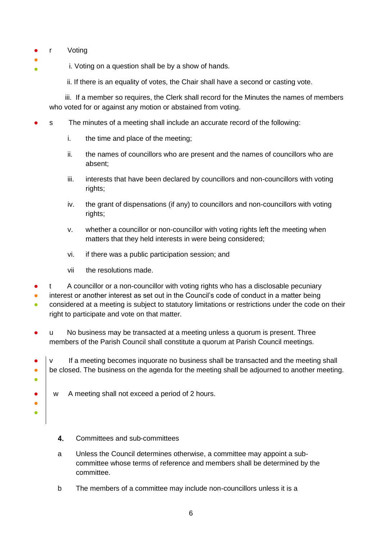- rVoting
- ● i. Voting on a question shall be by a show of hands.

ii. If there is an equality of votes, the Chair shall have a second or casting vote.

 iii. If a member so requires, the Clerk shall record for the Minutes the names of members who voted for or against any motion or abstained from voting.

- s The minutes of a meeting shall include an accurate record of the following:
	- i. the time and place of the meeting;
	- ii. the names of councillors who are present and the names of councillors who are absent;
	- iii. interests that have been declared by councillors and non-councillors with voting rights;
	- iv. the grant of dispensations (if any) to councillors and non-councillors with voting rights;
	- v. whether a councillor or non-councillor with voting rights left the meeting when matters that they held interests in were being considered;
	- vi. if there was a public participation session; and
	- vii the resolutions made.
- A councillor or a non-councillor with voting rights who has a disclosable pecuniary
- interest or another interest as set out in the Council's code of conduct in a matter being
- considered at a meeting is subject to statutory limitations or restrictions under the code on their right to participate and vote on that matter.
- u No business may be transacted at a meeting unless a quorum is present. Three members of the Parish Council shall constitute a quorum at Parish Council meetings.
- ● ● v If a meeting becomes inquorate no business shall be transacted and the meeting shall be closed. The business on the agenda for the meeting shall be adjourned to another meeting.
	- w A meeting shall not exceed a period of 2 hours.
		- $\overline{\mathbf{4}}$ . Committees and sub-committees

● ● ●

- <span id="page-5-0"></span>a Unless the Council determines otherwise, a committee may appoint a subcommittee whose terms of reference and members shall be determined by the committee.
- b The members of a committee may include non-councillors unless it is a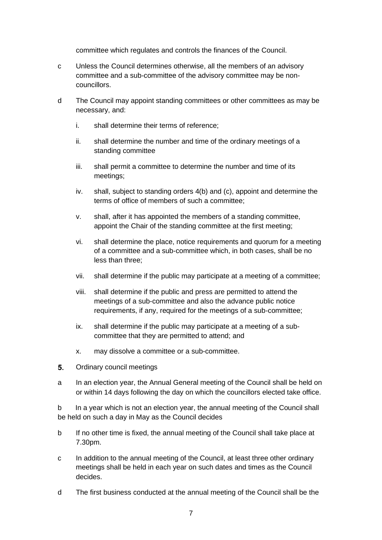committee which regulates and controls the finances of the Council.

- c Unless the Council determines otherwise, all the members of an advisory committee and a sub-committee of the advisory committee may be noncouncillors.
- d The Council may appoint standing committees or other committees as may be necessary, and:
	- i. shall determine their terms of reference;
	- ii. shall determine the number and time of the ordinary meetings of a standing committee
	- iii. shall permit a committee to determine the number and time of its meetings;
	- iv. shall, subject to standing orders 4(b) and (c), appoint and determine the terms of office of members of such a committee;
	- v. shall, after it has appointed the members of a standing committee, appoint the Chair of the standing committee at the first meeting;
	- vi. shall determine the place, notice requirements and quorum for a meeting of a committee and a sub-committee which, in both cases, shall be no less than three;
	- vii. shall determine if the public may participate at a meeting of a committee;
	- viii. shall determine if the public and press are permitted to attend the meetings of a sub-committee and also the advance public notice requirements, if any, required for the meetings of a sub-committee;
	- ix. shall determine if the public may participate at a meeting of a subcommittee that they are permitted to attend; and
	- x. may dissolve a committee or a sub-committee.
- <span id="page-6-0"></span> $5<sub>1</sub>$ Ordinary council meetings
- a In an election year, the Annual General meeting of the Council shall be held on or within 14 days following the day on which the councillors elected take office.

b In a year which is not an election year, the annual meeting of the Council shall be held on such a day in May as the Council decides

- b If no other time is fixed, the annual meeting of the Council shall take place at 7.30pm.
- c In addition to the annual meeting of the Council, at least three other ordinary meetings shall be held in each year on such dates and times as the Council decides.
- d The first business conducted at the annual meeting of the Council shall be the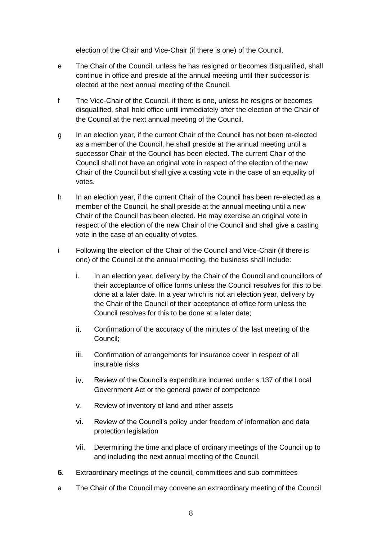election of the Chair and Vice-Chair (if there is one) of the Council.

- e The Chair of the Council, unless he has resigned or becomes disqualified, shall continue in office and preside at the annual meeting until their successor is elected at the next annual meeting of the Council.
- f The Vice-Chair of the Council, if there is one, unless he resigns or becomes disqualified, shall hold office until immediately after the election of the Chair of the Council at the next annual meeting of the Council.
- g In an election year, if the current Chair of the Council has not been re-elected as a member of the Council, he shall preside at the annual meeting until a successor Chair of the Council has been elected. The current Chair of the Council shall not have an original vote in respect of the election of the new Chair of the Council but shall give a casting vote in the case of an equality of votes.
- h In an election year, if the current Chair of the Council has been re-elected as a member of the Council, he shall preside at the annual meeting until a new Chair of the Council has been elected. He may exercise an original vote in respect of the election of the new Chair of the Council and shall give a casting vote in the case of an equality of votes.
- i Following the election of the Chair of the Council and Vice-Chair (if there is one) of the Council at the annual meeting, the business shall include:
	- i. In an election year, delivery by the Chair of the Council and councillors of their acceptance of office forms unless the Council resolves for this to be done at a later date. In a year which is not an election year, delivery by the Chair of the Council of their acceptance of office form unless the Council resolves for this to be done at a later date;
	- ii. Confirmation of the accuracy of the minutes of the last meeting of the Council;
	- iii. Confirmation of arrangements for insurance cover in respect of all insurable risks
	- iv. Review of the Council's expenditure incurred under s 137 of the Local Government Act or the general power of competence
	- v. Review of inventory of land and other assets
	- vi. Review of the Council's policy under freedom of information and data protection legislation
	- vii. Determining the time and place of ordinary meetings of the Council up to and including the next annual meeting of the Council.
- <span id="page-7-0"></span>6. Extraordinary meetings of the council, committees and sub-committees
- a The Chair of the Council may convene an extraordinary meeting of the Council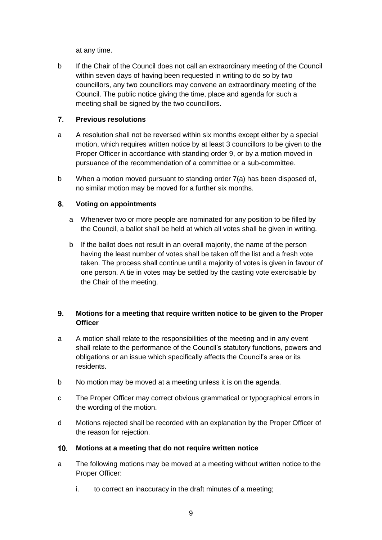at any time.

b If the Chair of the Council does not call an extraordinary meeting of the Council within seven days of having been requested in writing to do so by two councillors, any two councillors may convene an extraordinary meeting of the Council. The public notice giving the time, place and agenda for such a meeting shall be signed by the two councillors.

#### <span id="page-8-0"></span> $7<sup>1</sup>$ **Previous resolutions**

- a A resolution shall not be reversed within six months except either by a special motion, which requires written notice by at least 3 councillors to be given to the Proper Officer in accordance with standing order 9, or by a motion moved in pursuance of the recommendation of a committee or a sub-committee.
- b When a motion moved pursuant to standing order 7(a) has been disposed of, no similar motion may be moved for a further six months.

#### <span id="page-8-1"></span>8. **Voting on appointments**

- a Whenever two or more people are nominated for any position to be filled by the Council, a ballot shall be held at which all votes shall be given in writing.
- b If the ballot does not result in an overall majority, the name of the person having the least number of votes shall be taken off the list and a fresh vote taken. The process shall continue until a majority of votes is given in favour of one person. A tie in votes may be settled by the casting vote exercisable by the Chair of the meeting.

#### <span id="page-8-2"></span> $9<sub>-</sub>$ **Motions for a meeting that require written notice to be given to the Proper Officer**

- a A motion shall relate to the responsibilities of the meeting and in any event shall relate to the performance of the Council's statutory functions, powers and obligations or an issue which specifically affects the Council's area or its residents.
- b No motion may be moved at a meeting unless it is on the agenda.
- c The Proper Officer may correct obvious grammatical or typographical errors in the wording of the motion.
- d Motions rejected shall be recorded with an explanation by the Proper Officer of the reason for rejection.

#### <span id="page-8-3"></span> $10<sub>1</sub>$ **Motions at a meeting that do not require written notice**

- a The following motions may be moved at a meeting without written notice to the Proper Officer:
	- i. to correct an inaccuracy in the draft minutes of a meeting;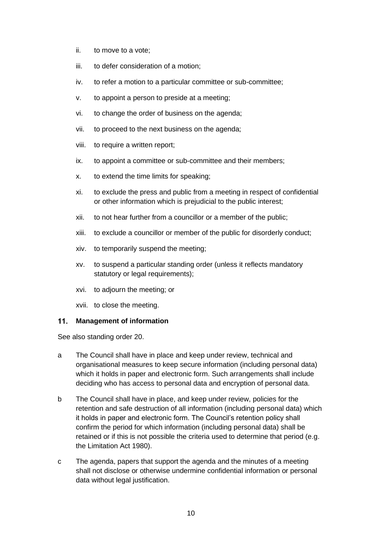- ii. to move to a vote;
- iii. to defer consideration of a motion;
- iv. to refer a motion to a particular committee or sub-committee:
- v. to appoint a person to preside at a meeting;
- vi. to change the order of business on the agenda;
- vii. to proceed to the next business on the agenda;
- viii. to require a written report;
- ix. to appoint a committee or sub-committee and their members;
- x. to extend the time limits for speaking;
- xi. to exclude the press and public from a meeting in respect of confidential or other information which is prejudicial to the public interest;
- xii. to not hear further from a councillor or a member of the public;
- xiii. to exclude a councillor or member of the public for disorderly conduct;
- xiv. to temporarily suspend the meeting;
- xv. to suspend a particular standing order (unless it reflects mandatory statutory or legal requirements);
- xvi. to adjourn the meeting; or
- xvii. to close the meeting.

### <span id="page-9-0"></span>**Management of information**

See also standing order 20.

- a The Council shall have in place and keep under review, technical and organisational measures to keep secure information (including personal data) which it holds in paper and electronic form. Such arrangements shall include deciding who has access to personal data and encryption of personal data.
- b The Council shall have in place, and keep under review, policies for the retention and safe destruction of all information (including personal data) which it holds in paper and electronic form. The Council's retention policy shall confirm the period for which information (including personal data) shall be retained or if this is not possible the criteria used to determine that period (e.g. the Limitation Act 1980).
- c The agenda, papers that support the agenda and the minutes of a meeting shall not disclose or otherwise undermine confidential information or personal data without legal justification.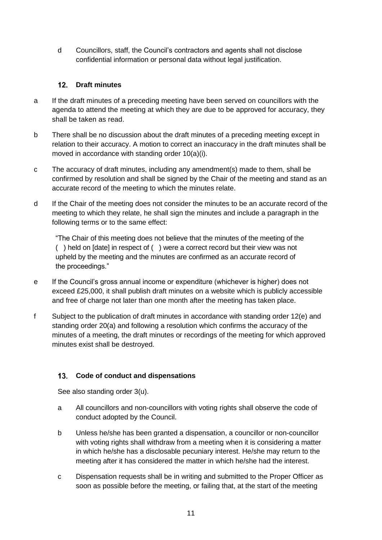d Councillors, staff, the Council's contractors and agents shall not disclose confidential information or personal data without legal justification.

### <span id="page-10-0"></span>**Draft minutes**

- a If the draft minutes of a preceding meeting have been served on councillors with the agenda to attend the meeting at which they are due to be approved for accuracy, they shall be taken as read.
- b There shall be no discussion about the draft minutes of a preceding meeting except in relation to their accuracy. A motion to correct an inaccuracy in the draft minutes shall be moved in accordance with standing order 10(a)(i).
- c The accuracy of draft minutes, including any amendment(s) made to them, shall be confirmed by resolution and shall be signed by the Chair of the meeting and stand as an accurate record of the meeting to which the minutes relate.
- d If the Chair of the meeting does not consider the minutes to be an accurate record of the meeting to which they relate, he shall sign the minutes and include a paragraph in the following terms or to the same effect:

"The Chair of this meeting does not believe that the minutes of the meeting of the ( ) held on [date] in respect of ( ) were a correct record but their view was not upheld by the meeting and the minutes are confirmed as an accurate record of the proceedings."

- e If the Council's gross annual income or expenditure (whichever is higher) does not exceed £25,000, it shall publish draft minutes on a website which is publicly accessible and free of charge not later than one month after the meeting has taken place.
- f Subject to the publication of draft minutes in accordance with standing order 12(e) and standing order 20(a) and following a resolution which confirms the accuracy of the minutes of a meeting, the draft minutes or recordings of the meeting for which approved minutes exist shall be destroyed.

### <span id="page-10-1"></span>**Code of conduct and dispensations**

See also standing order 3(u).

- a All councillors and non-councillors with voting rights shall observe the code of conduct adopted by the Council.
- b Unless he/she has been granted a dispensation, a councillor or non-councillor with voting rights shall withdraw from a meeting when it is considering a matter in which he/she has a disclosable pecuniary interest. He/she may return to the meeting after it has considered the matter in which he/she had the interest.
- c Dispensation requests shall be in writing and submitted to the Proper Officer as soon as possible before the meeting, or failing that, at the start of the meeting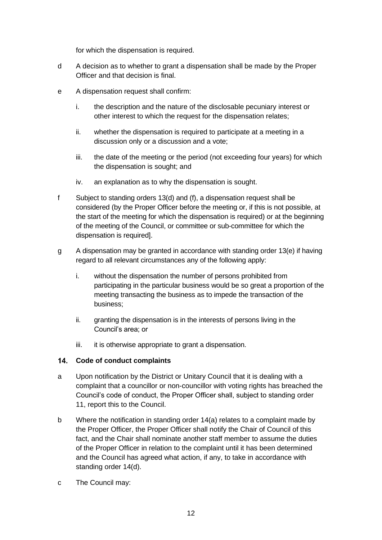for which the dispensation is required.

- d A decision as to whether to grant a dispensation shall be made by the Proper Officer and that decision is final.
- e A dispensation request shall confirm:
	- i. the description and the nature of the disclosable pecuniary interest or other interest to which the request for the dispensation relates;
	- ii. whether the dispensation is required to participate at a meeting in a discussion only or a discussion and a vote;
	- iii. the date of the meeting or the period (not exceeding four years) for which the dispensation is sought; and
	- iv. an explanation as to why the dispensation is sought.
- f Subject to standing orders 13(d) and (f), a dispensation request shall be considered (by the Proper Officer before the meeting or, if this is not possible, at the start of the meeting for which the dispensation is required) or at the beginning of the meeting of the Council, or committee or sub-committee for which the dispensation is required].
- g A dispensation may be granted in accordance with standing order 13(e) if having regard to all relevant circumstances any of the following apply:
	- i. without the dispensation the number of persons prohibited from participating in the particular business would be so great a proportion of the meeting transacting the business as to impede the transaction of the business;
	- ii. granting the dispensation is in the interests of persons living in the Council's area; or
	- iii. it is otherwise appropriate to grant a dispensation.

### <span id="page-11-0"></span>**Code of conduct complaints**

- a Upon notification by the District or Unitary Council that it is dealing with a complaint that a councillor or non-councillor with voting rights has breached the Council's code of conduct, the Proper Officer shall, subject to standing order 11, report this to the Council.
- b Where the notification in standing order 14(a) relates to a complaint made by the Proper Officer, the Proper Officer shall notify the Chair of Council of this fact, and the Chair shall nominate another staff member to assume the duties of the Proper Officer in relation to the complaint until it has been determined and the Council has agreed what action, if any, to take in accordance with standing order 14(d).
- c The Council may: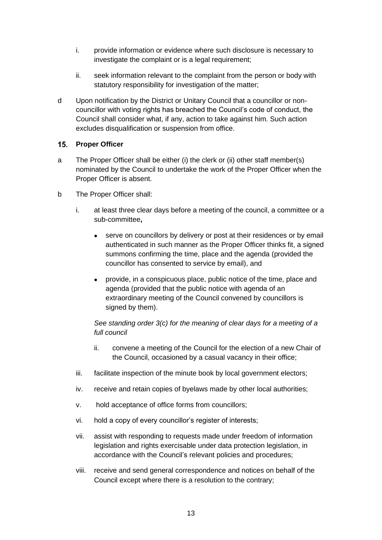- i. provide information or evidence where such disclosure is necessary to investigate the complaint or is a legal requirement;
- ii. seek information relevant to the complaint from the person or body with statutory responsibility for investigation of the matter;
- d Upon notification by the District or Unitary Council that a councillor or noncouncillor with voting rights has breached the Council's code of conduct, the Council shall consider what, if any, action to take against him. Such action excludes disqualification or suspension from office.

### <span id="page-12-0"></span>15. Proper Officer

- a The Proper Officer shall be either (i) the clerk or (ii) other staff member(s) nominated by the Council to undertake the work of the Proper Officer when the Proper Officer is absent.
- b The Proper Officer shall:
	- i. at least three clear days before a meeting of the council, a committee or a sub-committee**,**
		- serve on councillors by delivery or post at their residences or by email authenticated in such manner as the Proper Officer thinks fit, a signed summons confirming the time, place and the agenda (provided the councillor has consented to service by email), and
		- provide, in a conspicuous place, public notice of the time, place and agenda (provided that the public notice with agenda of an extraordinary meeting of the Council convened by councillors is signed by them).

### *See standing order 3(c) for the meaning of clear days for a meeting of a full council*

- ii. convene a meeting of the Council for the election of a new Chair of the Council, occasioned by a casual vacancy in their office;
- iii. facilitate inspection of the minute book by local government electors;
- iv. receive and retain copies of byelaws made by other local authorities;
- v. hold acceptance of office forms from councillors;
- vi. hold a copy of every councillor's register of interests;
- vii. assist with responding to requests made under freedom of information legislation and rights exercisable under data protection legislation, in accordance with the Council's relevant policies and procedures;
- viii. receive and send general correspondence and notices on behalf of the Council except where there is a resolution to the contrary;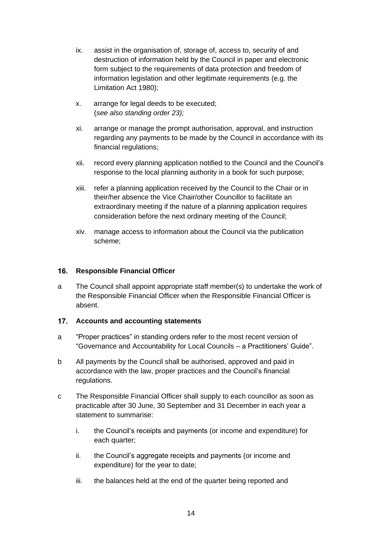- ix. assist in the organisation of, storage of, access to, security of and destruction of information held by the Council in paper and electronic form subject to the requirements of data protection and freedom of information legislation and other legitimate requirements (e.g. the Limitation Act 1980);
- x. arrange for legal deeds to be executed; (*see also standing order 23);*
- xi. arrange or manage the prompt authorisation, approval, and instruction regarding any payments to be made by the Council in accordance with its financial regulations;
- xii. record every planning application notified to the Council and the Council's response to the local planning authority in a book for such purpose;
- xiii. refer a planning application received by the Council to the Chair or in their/her absence the Vice Chair/other Councillor to facilitate an extraordinary meeting if the nature of a planning application requires consideration before the next ordinary meeting of the Council;
- xiv. manage access to information about the Council via the publication scheme;

### <span id="page-13-0"></span>**16.** Responsible Financial Officer

a The Council shall appoint appropriate staff member(s) to undertake the work of the Responsible Financial Officer when the Responsible Financial Officer is absent.

### <span id="page-13-1"></span>**Accounts and accounting statements**

- a "Proper practices" in standing orders refer to the most recent version of "Governance and Accountability for Local Councils – a Practitioners' Guide".
- b All payments by the Council shall be authorised, approved and paid in accordance with the law, proper practices and the Council's financial regulations.
- c The Responsible Financial Officer shall supply to each councillor as soon as practicable after 30 June, 30 September and 31 December in each year a statement to summarise:
	- i. the Council's receipts and payments (or income and expenditure) for each quarter:
	- ii. the Council's aggregate receipts and payments (or income and expenditure) for the year to date;
	- iii. the balances held at the end of the quarter being reported and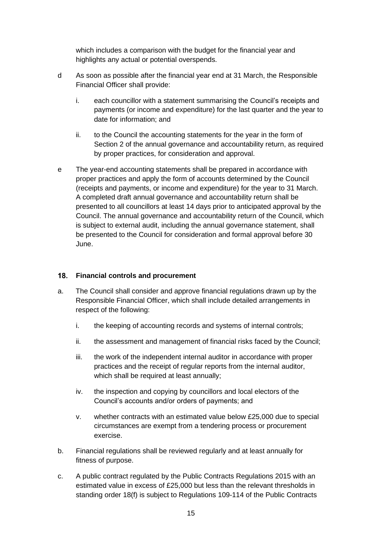which includes a comparison with the budget for the financial year and highlights any actual or potential overspends.

- d As soon as possible after the financial year end at 31 March, the Responsible Financial Officer shall provide:
	- i. each councillor with a statement summarising the Council's receipts and payments (or income and expenditure) for the last quarter and the year to date for information; and
	- ii. to the Council the accounting statements for the year in the form of Section 2 of the annual governance and accountability return, as required by proper practices, for consideration and approval.
- e The year-end accounting statements shall be prepared in accordance with proper practices and apply the form of accounts determined by the Council (receipts and payments, or income and expenditure) for the year to 31 March. A completed draft annual governance and accountability return shall be presented to all councillors at least 14 days prior to anticipated approval by the Council. The annual governance and accountability return of the Council, which is subject to external audit, including the annual governance statement, shall be presented to the Council for consideration and formal approval before 30 June.

### <span id="page-14-0"></span>**Financial controls and procurement**

- a. The Council shall consider and approve financial regulations drawn up by the Responsible Financial Officer, which shall include detailed arrangements in respect of the following:
	- i. the keeping of accounting records and systems of internal controls;
	- ii. the assessment and management of financial risks faced by the Council;
	- iii. the work of the independent internal auditor in accordance with proper practices and the receipt of regular reports from the internal auditor, which shall be required at least annually;
	- iv. the inspection and copying by councillors and local electors of the Council's accounts and/or orders of payments; and
	- v. whether contracts with an estimated value below £25,000 due to special circumstances are exempt from a tendering process or procurement exercise.
- b. Financial regulations shall be reviewed regularly and at least annually for fitness of purpose.
- c. A public contract regulated by the Public Contracts Regulations 2015 with an estimated value in excess of £25,000 but less than the relevant thresholds in standing order 18(f) is subject to Regulations 109-114 of the Public Contracts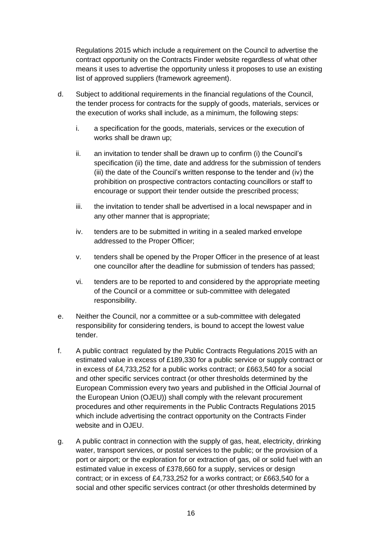Regulations 2015 which include a requirement on the Council to advertise the contract opportunity on the Contracts Finder website regardless of what other means it uses to advertise the opportunity unless it proposes to use an existing list of approved suppliers (framework agreement).

- d. Subject to additional requirements in the financial regulations of the Council, the tender process for contracts for the supply of goods, materials, services or the execution of works shall include, as a minimum, the following steps:
	- i. a specification for the goods, materials, services or the execution of works shall be drawn up;
	- ii. an invitation to tender shall be drawn up to confirm (i) the Council's specification (ii) the time, date and address for the submission of tenders (iii) the date of the Council's written response to the tender and (iv) the prohibition on prospective contractors contacting councillors or staff to encourage or support their tender outside the prescribed process;
	- iii. the invitation to tender shall be advertised in a local newspaper and in any other manner that is appropriate;
	- iv. tenders are to be submitted in writing in a sealed marked envelope addressed to the Proper Officer;
	- v. tenders shall be opened by the Proper Officer in the presence of at least one councillor after the deadline for submission of tenders has passed;
	- vi. tenders are to be reported to and considered by the appropriate meeting of the Council or a committee or sub-committee with delegated responsibility.
- e. Neither the Council, nor a committee or a sub-committee with delegated responsibility for considering tenders, is bound to accept the lowest value tender.
- f. A public contract regulated by the Public Contracts Regulations 2015 with an estimated value in excess of £189,330 for a public service or supply contract or in excess of £4,733,252 for a public works contract; or £663,540 for a social and other specific services contract (or other thresholds determined by the European Commission every two years and published in the Official Journal of the European Union (OJEU)) shall comply with the relevant procurement procedures and other requirements in the Public Contracts Regulations 2015 which include advertising the contract opportunity on the Contracts Finder website and in OJEU.
- g. A public contract in connection with the supply of gas, heat, electricity, drinking water, transport services, or postal services to the public; or the provision of a port or airport; or the exploration for or extraction of gas, oil or solid fuel with an estimated value in excess of £378,660 for a supply, services or design contract; or in excess of £4,733,252 for a works contract; or £663,540 for a social and other specific services contract (or other thresholds determined by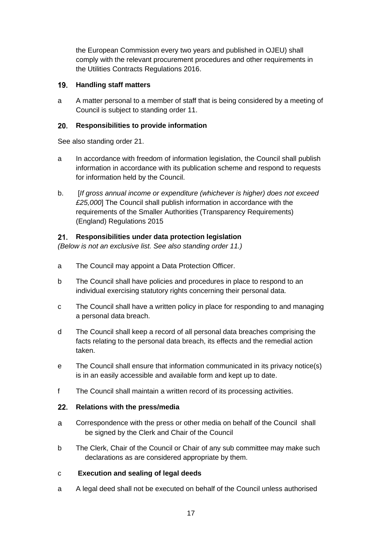the European Commission every two years and published in OJEU) shall comply with the relevant procurement procedures and other requirements in the Utilities Contracts Regulations 2016.

### <span id="page-16-0"></span>**Handling staff matters**

a A matter personal to a member of staff that is being considered by a meeting of Council is subject to standing order 11.

#### <span id="page-16-1"></span> $20.$ **Responsibilities to provide information**

See also standing order 21.

- a In accordance with freedom of information legislation, the Council shall publish information in accordance with its publication scheme and respond to requests for information held by the Council.
- b. [*If gross annual income or expenditure (whichever is higher) does not exceed £25,000*] The Council shall publish information in accordance with the requirements of the Smaller Authorities (Transparency Requirements) (England) Regulations 2015

#### <span id="page-16-2"></span> $21.$ **Responsibilities under data protection legislation**

*(Below is not an exclusive list. See also standing order 11.)*

- a The Council may appoint a Data Protection Officer.
- b The Council shall have policies and procedures in place to respond to an individual exercising statutory rights concerning their personal data.
- c The Council shall have a written policy in place for responding to and managing a personal data breach.
- d The Council shall keep a record of all personal data breaches comprising the facts relating to the personal data breach, its effects and the remedial action taken.
- e The Council shall ensure that information communicated in its privacy notice(s) is in an easily accessible and available form and kept up to date.
- f The Council shall maintain a written record of its processing activities.

### <span id="page-16-3"></span>**Relations with the press/media**

- a Correspondence with the press or other media on behalf of the Council shall be signed by the Clerk and Chair of the Council
- b The Clerk, Chair of the Council or Chair of any sub committee may make such declarations as are considered appropriate by them.

### <span id="page-16-4"></span>c **Execution and sealing of legal deeds**

a A legal deed shall not be executed on behalf of the Council unless authorised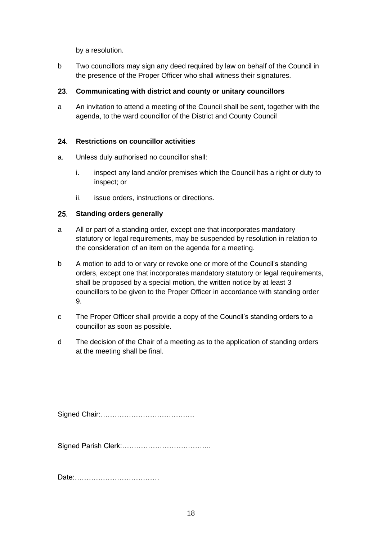by a resolution.

b Two councillors may sign any deed required by law on behalf of the Council in the presence of the Proper Officer who shall witness their signatures.

### <span id="page-17-0"></span>**Communicating with district and county or unitary councillors**

a An invitation to attend a meeting of the Council shall be sent, together with the agenda, to the ward councillor of the District and County Council

#### <span id="page-17-1"></span>**Restrictions on councillor activities**  $24.$

- a. Unless duly authorised no councillor shall:
	- i. inspect any land and/or premises which the Council has a right or duty to inspect; or
	- ii. issue orders, instructions or directions.

#### <span id="page-17-2"></span> $25.$ **Standing orders generally**

- a All or part of a standing order, except one that incorporates mandatory statutory or legal requirements, may be suspended by resolution in relation to the consideration of an item on the agenda for a meeting.
- b A motion to add to or vary or revoke one or more of the Council's standing orders, except one that incorporates mandatory statutory or legal requirements, shall be proposed by a special motion, the written notice by at least 3 councillors to be given to the Proper Officer in accordance with standing order 9.
- c The Proper Officer shall provide a copy of the Council's standing orders to a councillor as soon as possible.
- d The decision of the Chair of a meeting as to the application of standing orders at the meeting shall be final.

Signed Chair:………………………………….

Signed Parish Clerk:………………………………..

Date:………………………………